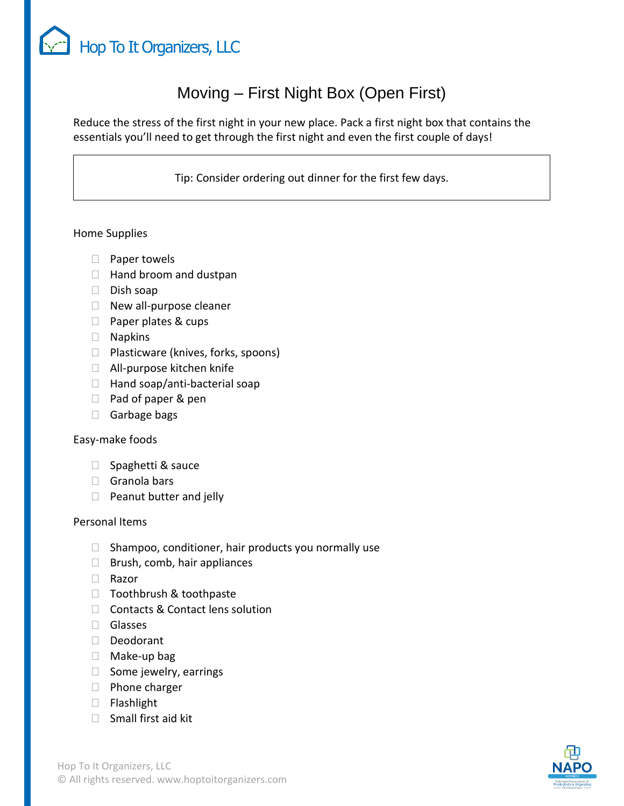

# Moving – First Night Box (Open First)

Reduce the stress of the first night in your new place. Pack a first night box that contains the essentials you'll need to get through the first night and even the first couple of days!

Tip: Consider ordering out dinner for the first few days.

# Home Supplies

- $\Box$  Paper towels
- $\Box$  Hand broom and dustpan
- $\Box$  Dish soap
- $\Box$  New all-purpose cleaner
- □ Paper plates & cups
- Napkins
- □ Plasticware (knives, forks, spoons)
- □ All-purpose kitchen knife
- $\Box$  Hand soap/anti-bacterial soap
- $\Box$  Pad of paper & pen
- □ Garbage bags

### Easy-make foods

- $\Box$  Spaghetti & sauce
- Granola bars
- $\Box$  Peanut butter and jelly

### Personal Items

- $\Box$  Shampoo, conditioner, hair products you normally use
- $\Box$  Brush, comb, hair appliances
- □ Razor
- □ Toothbrush & toothpaste
- □ Contacts & Contact lens solution
- Glasses
- Deodorant
- □ Make-up bag
- $\Box$  Some jewelry, earrings
- $\Box$  Phone charger
- Flashlight
- $\Box$  Small first aid kit